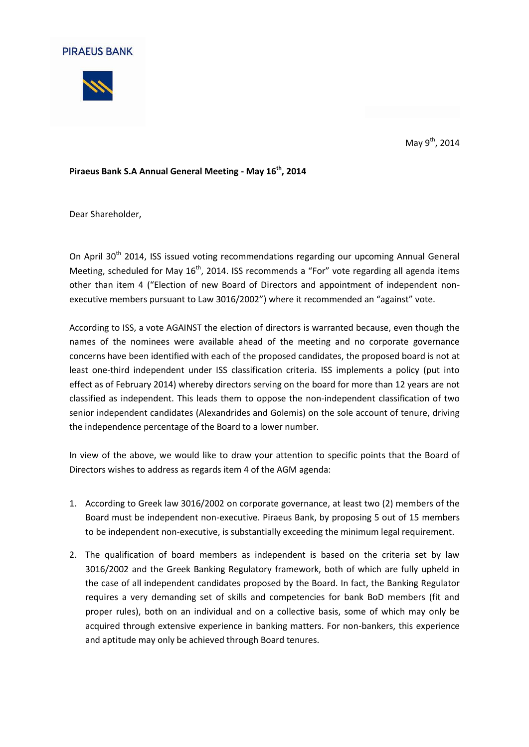



May 9<sup>th</sup>, 2014

## **Piraeus Bank S.A Annual General Meeting - May 16th , 2014**

Dear Shareholder,

On April 30<sup>th</sup> 2014, ISS issued voting recommendations regarding our upcoming Annual General Meeting, scheduled for May  $16<sup>th</sup>$ , 2014. ISS recommends a "For" vote regarding all agenda items other than item 4 ("Election of new Board of Directors and appointment of independent nonexecutive members pursuant to Law 3016/2002") where it recommended an "against" vote.

According to ISS, a vote AGAINST the election of directors is warranted because, even though the names of the nominees were available ahead of the meeting and no corporate governance concerns have been identified with each of the proposed candidates, the proposed board is not at least one-third independent under ISS classification criteria. ISS implements a policy (put into effect as of February 2014) whereby directors serving on the board for more than 12 years are not classified as independent. This leads them to oppose the non-independent classification of two senior independent candidates (Alexandrides and Golemis) on the sole account of tenure, driving the independence percentage of the Board to a lower number.

In view of the above, we would like to draw your attention to specific points that the Board of Directors wishes to address as regards item 4 of the AGM agenda:

- 1. According to Greek law 3016/2002 on corporate governance, at least two (2) members of the Board must be independent non-executive. Piraeus Bank, by proposing 5 out of 15 members to be independent non-executive, is substantially exceeding the minimum legal requirement.
- 2. The qualification of board members as independent is based on the criteria set by law 3016/2002 and the Greek Banking Regulatory framework, both of which are fully upheld in the case of all independent candidates proposed by the Board. In fact, the Banking Regulator requires a very demanding set of skills and competencies for bank BoD members (fit and proper rules), both on an individual and on a collective basis, some of which may only be acquired through extensive experience in banking matters. For non-bankers, this experience and aptitude may only be achieved through Board tenures.